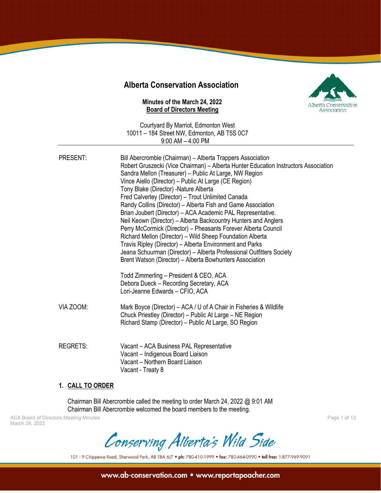# **Alberta Conservation Association**

#### **Minutes of the March 24, 2022 Board of Directors Meeting**



Courtyard By Marriot, Edmonton West 10011 – 184 Street NW, Edmonton, AB T5S 0C7 9:00 AM – 4:00 PM

| PRESENT:        | Bill Abercrombie (Chairman) – Alberta Trappers Association<br>Robert Gruszecki (Vice Chairman) - Alberta Hunter Education Instructors Association<br>Sandra Mellon (Treasurer) - Public At Large, NW Region<br>Vince Aiello (Director) - Public At Large (CE Region)<br>Tony Blake (Director) - Nature Alberta<br>Fred Calverley (Director) - Trout Unlimited Canada<br>Randy Collins (Director) - Alberta Fish and Game Association<br>Brian Joubert (Director) - ACA Academic PAL Representative.<br>Neil Keown (Director) – Alberta Backcountry Hunters and Anglers<br>Perry McCormick (Director) - Pheasants Forever Alberta Council<br>Richard Mellon (Director) - Wild Sheep Foundation Alberta<br>Travis Ripley (Director) - Alberta Environment and Parks<br>Jeana Schuurman (Director) - Alberta Professional Outfitters Society<br>Brent Watson (Director) - Alberta Bowhunters Association<br>Todd Zimmerling - President & CEO, ACA |
|-----------------|-------------------------------------------------------------------------------------------------------------------------------------------------------------------------------------------------------------------------------------------------------------------------------------------------------------------------------------------------------------------------------------------------------------------------------------------------------------------------------------------------------------------------------------------------------------------------------------------------------------------------------------------------------------------------------------------------------------------------------------------------------------------------------------------------------------------------------------------------------------------------------------------------------------------------------------------------|
|                 | Debora Dueck - Recording Secretary, ACA<br>Lori-Jeanne Edwards - CFIO, ACA                                                                                                                                                                                                                                                                                                                                                                                                                                                                                                                                                                                                                                                                                                                                                                                                                                                                      |
| VIA ZOOM:       | Mark Boyce (Director) – ACA / U of A Chair in Fisheries & Wildlife<br>Chuck Priestley (Director) - Public At Large - NE Region<br>Richard Stamp (Director) – Public At Large, SO Region                                                                                                                                                                                                                                                                                                                                                                                                                                                                                                                                                                                                                                                                                                                                                         |
| <b>REGRETS:</b> | Vacant - ACA Business PAL Representative<br>Vacant - Indigenous Board Liaison<br>Vacant - Northern Board Liaison<br>Vacant - Treaty 8                                                                                                                                                                                                                                                                                                                                                                                                                                                                                                                                                                                                                                                                                                                                                                                                           |

#### **1. CALL TO ORDER**

Chairman Bill Abercrombie called the meeting to order March 24, 2022 @ 9:01 AM Chairman Bill Abercrombie welcomed the board members to the meeting.

ACA Board of Directors Meeting Minutes Page 1 of 13 March 24, 2022

Conserving Alberta's Wild Side

101 - 9 Chippewa Road, Sherwood Park, AB T8A 6J7 . ph: 780-410-1999 . fax: 780-464-0990 . toll free: 1-877-969-9091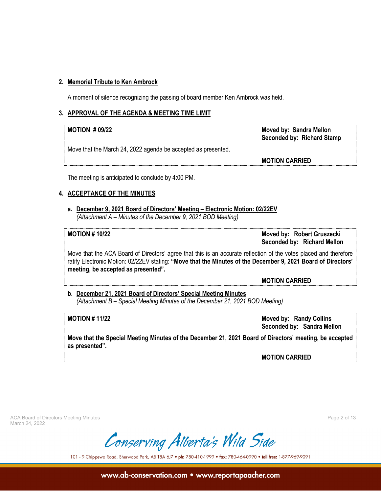## **2. Memorial Tribute to Ken Ambrock**

A moment of silence recognizing the passing of board member Ken Ambrock was held.

#### **3. APPROVAL OF THE AGENDA & MEETING TIME LIMIT**

| $MOTION$ # 09/22 |  |
|------------------|--|
|------------------|--|

**Moved by: Sandra Mellon Seconded by: Richard Stamp**

Move that the March 24, 2022 agenda be accepted as presented.

**MOTION CARRIED**

The meeting is anticipated to conclude by 4:00 PM.

# **4. ACCEPTANCE OF THE MINUTES**

**a. December 9, 2021 Board of Directors' Meeting – Electronic Motion: 02/22EV** *(Attachment A – Minutes of the December 9, 2021 BOD Meeting)*

**MOTION # 10/22 Moved by: Robert Gruszecki Seconded by: Richard Mellon**

Move that the ACA Board of Directors' agree that this is an accurate reflection of the votes placed and therefore ratify Electronic Motion: 02/22EV stating: **"Move that the Minutes of the December 9, 2021 Board of Directors' meeting, be accepted as presented".**

**MOTION CARRIED**

**b. December 21, 2021 Board of Directors' Special Meeting Minutes** *(Attachment B – Special Meeting Minutes of the December 21, 2021 BOD Meeting)*

**MOTION # 11/22 Moved by: Randy Collins Seconded by: Sandra Mellon**

**Move that the Special Meeting Minutes of the December 21, 2021 Board of Directors' meeting, be accepted as presented".**

**MOTION CARRIED**

ACA Board of Directors Meeting Minutes Page 2 of 13 March 24, 2022

Conserving Alberta's Wild Side

101 - 9 Chippewa Road, Sherwood Park, AB T8A 6J7 . ph: 780-410-1999 . fax: 780-464-0990 . toll free: 1-877-969-9091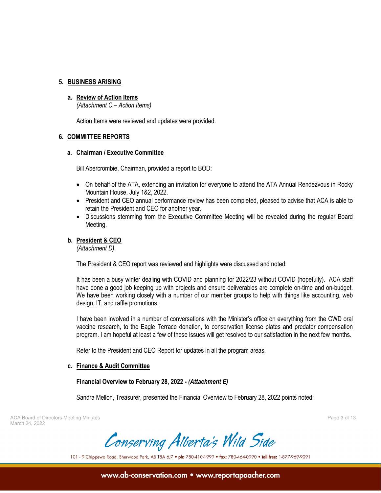### **5. BUSINESS ARISING**

#### **a. Review of Action Items**

*(Attachment C – Action Items)*

Action Items were reviewed and updates were provided.

### **6. COMMITTEE REPORTS**

#### **a. Chairman / Executive Committee**

Bill Abercrombie, Chairman, provided a report to BOD:

- On behalf of the ATA, extending an invitation for everyone to attend the ATA Annual Rendezvous in Rocky Mountain House, July 1&2, 2022.
- President and CEO annual performance review has been completed, pleased to advise that ACA is able to retain the President and CEO for another year.
- Discussions stemming from the Executive Committee Meeting will be revealed during the regular Board Meeting.

### **b. President & CEO**

*(Attachment D)*

The President & CEO report was reviewed and highlights were discussed and noted:

It has been a busy winter dealing with COVID and planning for 2022/23 without COVID (hopefully). ACA staff have done a good job keeping up with projects and ensure deliverables are complete on-time and on-budget. We have been working closely with a number of our member groups to help with things like accounting, web design, IT, and raffle promotions.

I have been involved in a number of conversations with the Minister's office on everything from the CWD oral vaccine research, to the Eagle Terrace donation, to conservation license plates and predator compensation program. I am hopeful at least a few of these issues will get resolved to our satisfaction in the next few months.

Refer to the President and CEO Report for updates in all the program areas.

### **c. Finance & Audit Committee**

### **Financial Overview to February 28, 2022 -** *(Attachment E)*

Sandra Mellon, Treasurer, presented the Financial Overview to February 28, 2022 points noted:

ACA Board of Directors Meeting Minutes Page 3 of 13 March 24, 2022

Conserving Alberta's Wild Side

101 - 9 Chippewa Road, Sherwood Park, AB T8A 6J7 . ph: 780-410-1999 . fax: 780-464-0990 . toll free: 1-877-969-9091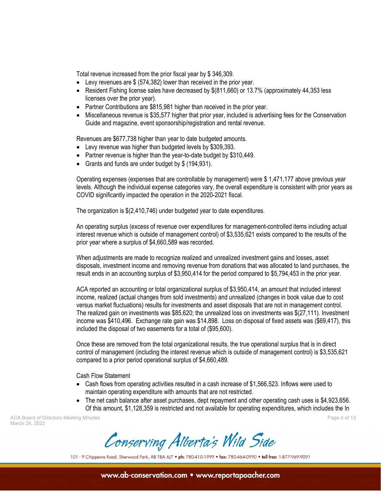Total revenue increased from the prior fiscal year by \$ 346,309.

- Levy revenues are \$ (574,382) lower than received in the prior year.
- Resident Fishing license sales have decreased by  $$(811,660)$  or 13.7% (approximately 44,353 less licenses over the prior year).
- Partner Contributions are \$815,981 higher than received in the prior year.
- Miscellaneous revenue is \$35,577 higher that prior year, included is advertising fees for the Conservation Guide and magazine, event sponsorship/registration and rental revenue.

Revenues are \$677,738 higher than year to date budgeted amounts.

- Levy revenue was higher than budgeted levels by \$309,393.
- Partner revenue is higher than the year-to-date budget by \$310,449.
- Grants and funds are under budget by \$ (194,931).

Operating expenses (expenses that are controllable by management) were \$ 1,471,177 above previous year levels. Although the individual expense categories vary, the overall expenditure is consistent with prior years as COVID significantly impacted the operation in the 2020-2021 fiscal.

The organization is \$(2,410,746) under budgeted year to date expenditures.

An operating surplus (excess of revenue over expenditures for management-controlled items including actual interest revenue which is outside of management control) of \$3,535,621 exists compared to the results of the prior year where a surplus of \$4,660,589 was recorded.

When adjustments are made to recognize realized and unrealized investment gains and losses, asset disposals, investment income and removing revenue from donations that was allocated to land purchases, the result ends in an accounting surplus of \$3,950,414 for the period compared to \$5,794,453 in the prior year.

ACA reported an accounting or total organizational surplus of \$3,950,414, an amount that included interest income, realized (actual changes from sold investments) and unrealized (changes in book value due to cost versus market fluctuations) results for investments and asset disposals that are not in management control. The realized gain on investments was \$85,620; the unrealized loss on investments was \$(27,111). Investment income was \$410,496. Exchange rate gain was \$14,898. Loss on disposal of fixed assets was (\$69,417), this included the disposal of two easements for a total of (\$95,600).

Once these are removed from the total organizational results, the true operational surplus that is in direct control of management (including the interest revenue which is outside of management control) is \$3,535,621 compared to a prior period operational surplus of \$4,660,489.

Cash Flow Statement

- Cash flows from operating activities resulted in a cash increase of \$1,566,523. Inflows were used to maintain operating expenditure with amounts that are not restricted.
- The net cash balance after asset purchases, dept repayment and other operating cash uses is \$4,923,656. Of this amount, \$1,128,359 is restricted and not available for operating expenditures, which includes the In

ACA Board of Directors Meeting Minutes Page 4 of 13 March 24, 2022

Conserving Alberta's Wild Side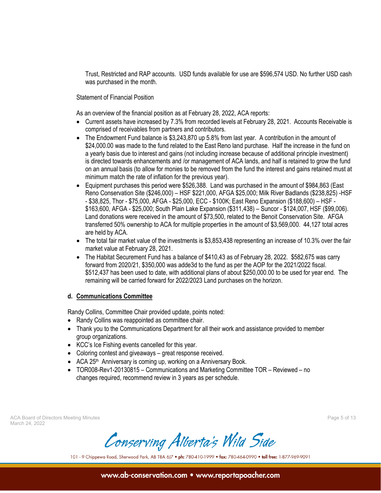Trust, Restricted and RAP accounts. USD funds available for use are \$596,574 USD. No further USD cash was purchased in the month.

Statement of Financial Position

As an overview of the financial position as at February 28, 2022, ACA reports:

- Current assets have increased by 7.3% from recorded levels at February 28, 2021. Accounts Receivable is comprised of receivables from partners and contributors.
- The Endowment Fund balance is \$3,243,870 up 5.8% from last year. A contribution in the amount of \$24,000.00 was made to the fund related to the East Reno land purchase. Half the increase in the fund on a yearly basis due to interest and gains (not including increase because of additional principle investment) is directed towards enhancements and /or management of ACA lands, and half is retained to grow the fund on an annual basis (to allow for monies to be removed from the fund the interest and gains retained must at minimum match the rate of inflation for the previous year).
- Equipment purchases this period were \$526,388. Land was purchased in the amount of \$984,863 (East Reno Conservation Site (\$246,000) – HSF \$221,000, AFGA \$25,000; Milk River Badlands (\$238,825) -HSF - \$38,825, Thor - \$75,000, AFGA - \$25,000, ECC - \$100K; East Reno Expansion (\$188,600) – HSF - \$163,600, AFGA - \$25,000; South Plain Lake Expansion (\$311,438) – Suncor - \$124,007, HSF (\$99,006). Land donations were received in the amount of \$73,500, related to the Benoit Conservation Site. AFGA transferred 50% ownership to ACA for multiple properties in the amount of \$3,569,000. 44,127 total acres are held by ACA.
- The total fair market value of the investments is \$3,853,438 representing an increase of 10.3% over the fair market value at February 28, 2021.
- The Habitat Securement Fund has a balance of \$410,43 as of February 28, 2022. \$582,675 was carry forward from 2020/21, \$350,000 was adde3d to the fund as per the AOP for the 2021/2022 fiscal. \$512,437 has been used to date, with additional plans of about \$250,000.00 to be used for year end. The remaining will be carried forward for 2022/2023 Land purchases on the horizon.

### **d. Communications Committee**

Randy Collins, Committee Chair provided update, points noted:

- Randy Collins was reappointed as committee chair.
- Thank you to the Communications Department for all their work and assistance provided to member group organizations.
- KCC's Ice Fishing events cancelled for this year.
- Coloring contest and giveaways great response received.
- ACA 25<sup>th</sup> Anniversary is coming up, working on a Anniversary Book.
- TOR008-Rev1-20130815 Communications and Marketing Committee TOR Reviewed no changes required, recommend review in 3 years as per schedule.

ACA Board of Directors Meeting Minutes Page 5 of 13 March 24, 2022

Conserving Alberta's Wild Side

101 - 9 Chippewa Road, Sherwood Park, AB T8A 6J7 . ph: 780-410-1999 . fax: 780-464-0990 . toll free: 1-877-969-9091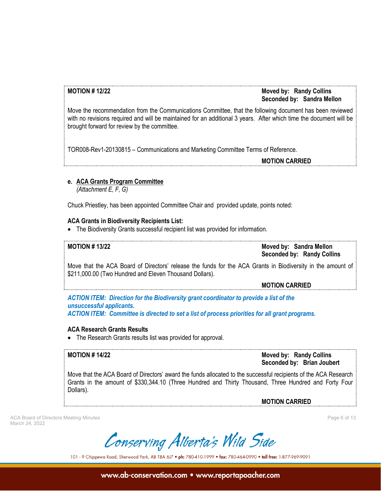# **MOTION # 12/22 Moved by: Randy Collins Seconded by: Sandra Mellon**

Move the recommendation from the Communications Committee, that the following document has been reviewed with no revisions required and will be maintained for an additional 3 years. After which time the document will be brought forward for review by the committee.

TOR008-Rev1-20130815 – Communications and Marketing Committee Terms of Reference.

**MOTION CARRIED**

# **e. ACA Grants Program Committee**

*(Attachment E, F, G)*

Chuck Priestley, has been appointed Committee Chair and provided update, points noted:

# **ACA Grants in Biodiversity Recipients List:**

• The Biodiversity Grants successful recipient list was provided for information.

**MOTION # 13/22 Moved by: Sandra Mellon Seconded by: Randy Collins**

Move that the ACA Board of Directors' release the funds for the ACA Grants in Biodiversity in the amount of \$211,000.00 (Two Hundred and Eleven Thousand Dollars).

**MOTION CARRIED**

*ACTION ITEM: Direction for the Biodiversity grant coordinator to provide a list of the unsuccessful applicants. ACTION ITEM: Committee is directed to set a list of process priorities for all grant programs.*

### **ACA Research Grants Results**

• The Research Grants results list was provided for approval.

**MOTION # 14/22 Moved by: Randy Collins Seconded by: Brian Joubert**

Move that the ACA Board of Directors' award the funds allocated to the successful recipients of the ACA Research Grants in the amount of \$330,344.10 (Three Hundred and Thirty Thousand, Three Hundred and Forty Four Dollars).

**MOTION CARRIED**

ACA Board of Directors Meeting Minutes Page 6 of 13 March 24, 2022

Conserving Alberta's Wild Side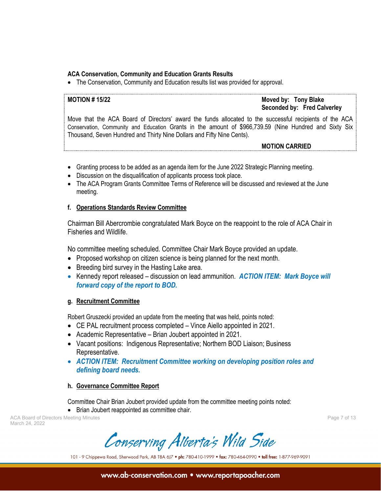# **ACA Conservation, Community and Education Grants Results**

• The Conservation, Community and Education results list was provided for approval.

# **MOTION # 15/22 Moved by: Tony Blake Seconded by: Fred Calverley**

Move that the ACA Board of Directors' award the funds allocated to the successful recipients of the ACA Conservation, Community and Education Grants in the amount of \$966,739.59 (Nine Hundred and Sixty Six Thousand, Seven Hundred and Thirty Nine Dollars and Fifty Nine Cents).

**MOTION CARRIED**

- Granting process to be added as an agenda item for the June 2022 Strategic Planning meeting.
- Discussion on the disqualification of applicants process took place.
- The ACA Program Grants Committee Terms of Reference will be discussed and reviewed at the June meeting.

### **f. Operations Standards Review Committee**

Chairman Bill Abercrombie congratulated Mark Boyce on the reappoint to the role of ACA Chair in Fisheries and Wildlife.

No committee meeting scheduled. Committee Chair Mark Boyce provided an update.

- Proposed workshop on citizen science is being planned for the next month.
- Breeding bird survey in the Hasting Lake area.
- Kennedy report released discussion on lead ammunition. *ACTION ITEM: Mark Boyce will forward copy of the report to BOD.*

### **g. Recruitment Committee**

Robert Gruszecki provided an update from the meeting that was held, points noted:

- CE PAL recruitment process completed Vince Aiello appointed in 2021.
- Academic Representative Brian Joubert appointed in 2021.
- Vacant positions: Indigenous Representative; Northern BOD Liaison; Business Representative.
- *ACTION ITEM: Recruitment Committee working on developing position roles and defining board needs.*

### **h. Governance Committee Report**

Committee Chair Brian Joubert provided update from the committee meeting points noted:

• Brian Joubert reappointed as committee chair.

ACA Board of Directors Meeting Minutes Page 7 of 13 March 24, 2022

Conserving Alberta's Wild Side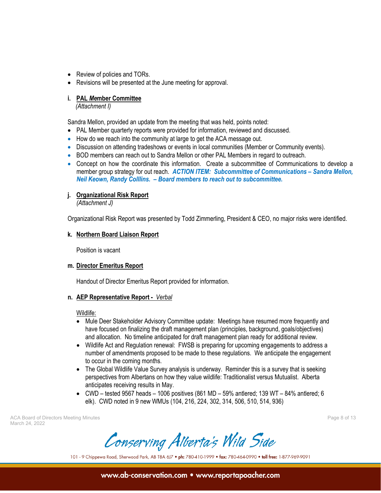- Review of policies and TORs.
- Revisions will be presented at the June meeting for approval.

## **i. PAL** *Me***mber Committee**

*(Attachment I)*

Sandra Mellon, provided an update from the meeting that was held, points noted:

- PAL Member quarterly reports were provided for information, reviewed and discussed.
- How do we reach into the community at large to get the ACA message out.
- Discussion on attending tradeshows or events in local communities (Member or Community events).
- BOD members can reach out to Sandra Mellon or other PAL Members in regard to outreach.
- Concept on how the coordinate this information. Create a subcommittee of Communications to develop a member group strategy for out reach. *ACTION ITEM: Subcommittee of Communications – Sandra Mellon, Neil Keown, Randy Colllins. – Board members to reach out to subcommittee.*

# **j. Organizational Risk Report**

*(Attachment J)*

Organizational Risk Report was presented by Todd Zimmerling, President & CEO, no major risks were identified.

# **k. Northern Board Liaison Report**

Position is vacant

# **m. Director Emeritus Report**

Handout of Director Emeritus Report provided for information.

### **n. AEP Representative Report -** *Verbal*

#### Wildlife:

- Mule Deer Stakeholder Advisory Committee update: Meetings have resumed more frequently and have focused on finalizing the draft management plan (principles, background, goals/objectives) and allocation. No timeline anticipated for draft management plan ready for additional review.
- Wildlife Act and Regulation renewal: FWSB is preparing for upcoming engagements to address a number of amendments proposed to be made to these regulations. We anticipate the engagement to occur in the coming months.
- The Global Wildlife Value Survey analysis is underway. Reminder this is a survey that is seeking perspectives from Albertans on how they value wildlife: Traditionalist versus Mutualist. Alberta anticipates receiving results in May.
- CWD tested 9567 heads 1006 positives (861 MD 59% antlered; 139 WT 84% antlered; 6 elk). CWD noted in 9 new WMUs (104, 216, 224, 302, 314, 506, 510, 514, 936)

ACA Board of Directors Meeting Minutes Page 8 of 13 March 24, 2022

Conserving Alberta's Wild Side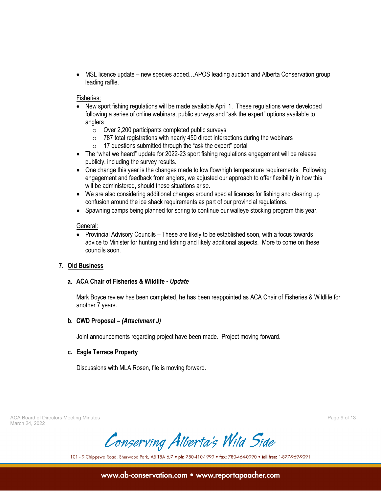• MSL licence update – new species added...APOS leading auction and Alberta Conservation group leading raffle.

#### Fisheries:

- New sport fishing regulations will be made available April 1. These regulations were developed following a series of online webinars, public surveys and "ask the expert" options available to anglers
	- $\circ$  Over 2,200 participants completed public surveys
	- $\circ$  787 total registrations with nearly 450 direct interactions during the webinars
	- 17 questions submitted through the "ask the expert" portal
- The "what we heard" update for 2022-23 sport fishing regulations engagement will be release publicly, including the survey results.
- One change this year is the changes made to low flow/high temperature requirements. Following engagement and feedback from anglers, we adjusted our approach to offer flexibility in how this will be administered, should these situations arise.
- We are also considering additional changes around special licences for fishing and clearing up confusion around the ice shack requirements as part of our provincial regulations.
- Spawning camps being planned for spring to continue our walleye stocking program this year.

#### General:

• Provincial Advisory Councils – These are likely to be established soon, with a focus towards advice to Minister for hunting and fishing and likely additional aspects. More to come on these councils soon.

### **7. Old Business**

### **a. ACA Chair of Fisheries & Wildlife -** *Update*

Mark Boyce review has been completed, he has been reappointed as ACA Chair of Fisheries & Wildlife for another 7 years.

### **b. CWD Proposal –** *(Attachment J)*

Joint announcements regarding project have been made. Project moving forward.

### **c. Eagle Terrace Property**

Discussions with MLA Rosen, file is moving forward.

ACA Board of Directors Meeting Minutes Page 9 of 13 March 24, 2022

Conserving Alberta's Wild Side

101 - 9 Chippewa Road, Sherwood Park, AB T8A 6J7 . ph: 780-410-1999 . fax: 780-464-0990 . toll free: 1-877-969-9091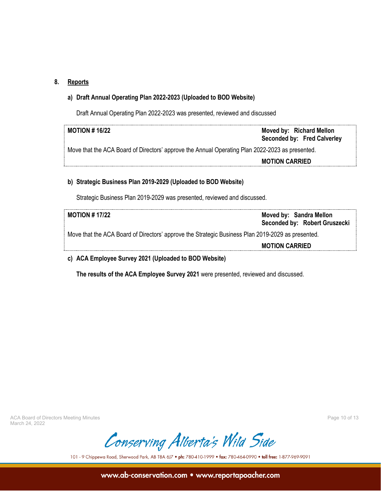# **8. Reports**

# **a) Draft Annual Operating Plan 2022-2023 (Uploaded to BOD Website)**

Draft Annual Operating Plan 2022-2023 was presented, reviewed and discussed

| MOTION # 16/22                                                                                  | Moved by: Richard Mellon<br>Seconded by: Fred Calverley |  |  |
|-------------------------------------------------------------------------------------------------|---------------------------------------------------------|--|--|
| Move that the ACA Board of Directors' approve the Annual Operating Plan 2022-2023 as presented. |                                                         |  |  |
|                                                                                                 | <b>MOTION CARRIED</b>                                   |  |  |
|                                                                                                 |                                                         |  |  |

# **b) Strategic Business Plan 2019-2029 (Uploaded to BOD Website)**

Strategic Business Plan 2019-2029 was presented, reviewed and discussed.

| MOTION # 17/22                                                                                    | Moved by: Sandra Mellon<br>Seconded by: Robert Gruszecki |  |  |
|---------------------------------------------------------------------------------------------------|----------------------------------------------------------|--|--|
| Move that the ACA Board of Directors' approve the Strategic Business Plan 2019-2029 as presented. |                                                          |  |  |
|                                                                                                   | <b>MOTION CARRIED</b>                                    |  |  |
|                                                                                                   |                                                          |  |  |

# **c) ACA Employee Survey 2021 (Uploaded to BOD Website)**

**The results of the ACA Employee Survey 2021** were presented, reviewed and discussed.

ACA Board of Directors Meeting Minutes **Page 10** of 13 March 24, 2022

Conserving Alberta's Wild Side

101 - 9 Chippewa Road, Sherwood Park, AB T8A 6J7 . ph: 780-410-1999 . fax: 780-464-0990 . toll free: 1-877-969-9091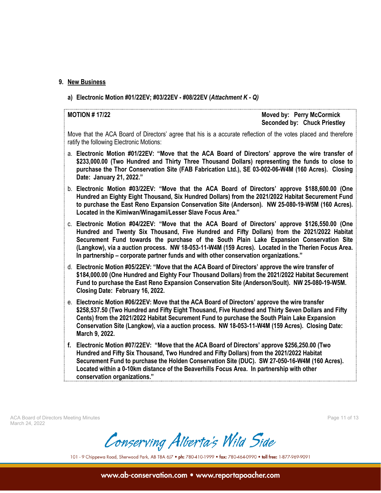#### **9. New Business**

**a) Electronic Motion #01/22EV; #03/22EV - #08/22EV (***Attachment K - Q)*

**MOTION # 17/22 Moved by: Perry McCormick Seconded by: Chuck Priestley**

Move that the ACA Board of Directors' agree that his is a accurate reflection of the votes placed and therefore ratify the following Electronic Motions:

- a. **Electronic Motion #01/22EV: "Move that the ACA Board of Directors' approve the wire transfer of \$233,000.00 (Two Hundred and Thirty Three Thousand Dollars) representing the funds to close to purchase the Thor Conservation Site (FAB Fabrication Ltd.), SE 03-002-06-W4M (160 Acres). Closing Date: January 21, 2022."**
- b. **Electronic Motion #03/22EV: "Move that the ACA Board of Directors' approve \$188,600.00 (One Hundred an Eighty Eight Thousand, Six Hundred Dollars) from the 2021/2022 Habitat Securement Fund to purchase the East Reno Expansion Conservation Site (Anderson). NW 25-080-19-W5M (160 Acres). Located in the Kimiwan/Winagami/Lesser Slave Focus Area."**
- c. **Electronic Motion #04/22EV: "Move that the ACA Board of Directors' approve \$126,550.00 (One Hundred and Twenty Six Thousand, Five Hundred and Fifty Dollars) from the 2021/2022 Habitat Securement Fund towards the purchase of the South Plain Lake Expansion Conservation Site (Langkow), via a auction process. NW 18-053-11-W4M (159 Acres). Located in the Therien Focus Area. In partnership – corporate partner funds and with other conservation organizations."**
- d. **Electronic Motion #05/22EV: "Move that the ACA Board of Directors' approve the wire transfer of \$184,000.00 (One Hundred and Eighty Four Thousand Dollars) from the 2021/2022 Habitat Securement Fund to purchase the East Reno Expansion Conservation Site (Anderson/Soult). NW 25-080-19-W5M. Closing Date: February 16, 2022.**
- e. **Electronic Motion #06/22EV: Move that the ACA Board of Directors' approve the wire transfer \$258,537.50 (Two Hundred and Fifty Eight Thousand, Five Hundred and Thirty Seven Dollars and Fifty Cents) from the 2021/2022 Habitat Securement Fund to purchase the South Plain Lake Expansion Conservation Site (Langkow), via a auction process. NW 18-053-11-W4M (159 Acres). Closing Date: March 9, 2022.**
- **f. Electronic Motion #07/22EV: "Move that the ACA Board of Directors' approve \$256,250.00 (Two Hundred and Fifty Six Thousand, Two Hundred and Fifty Dollars) from the 2021/2022 Habitat Securement Fund to purchase the Holden Conservation Site (DUC). SW 27-050-16-W4M (160 Acres). Located within a 0-10km distance of the Beaverhills Focus Area. In partnership with other conservation organizations."**

ACA Board of Directors Meeting Minutes **Page 11 of 13** and the United States Page 11 of 13 March 24, 2022

Conserving Alberta's Wild Side

101 - 9 Chippewa Road, Sherwood Park, AB T8A 6J7 . ph: 780-410-1999 . fax: 780-464-0990 . toll free: 1-877-969-9091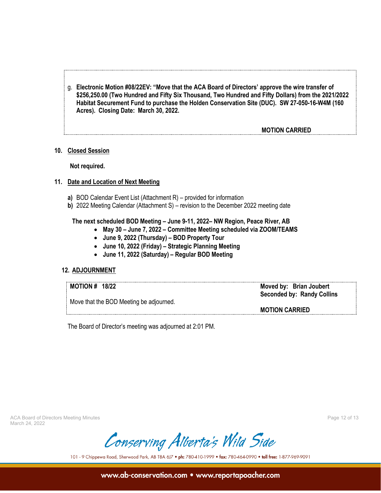g. **Electronic Motion #08/22EV: "Move that the ACA Board of Directors' approve the wire transfer of \$256,250.00 (Two Hundred and Fifty Six Thousand, Two Hundred and Fifty Dollars) from the 2021/2022 Habitat Securement Fund to purchase the Holden Conservation Site (DUC). SW 27-050-16-W4M (160 Acres). Closing Date: March 30, 2022.**

### **MOTION CARRIED**

#### **10. Closed Session**

**Not required.**

#### **11. Date and Location of Next Meeting**

- **a)** BOD Calendar Event List (Attachment R) provided for information
- **b)** 2022 Meeting Calendar (Attachment S) revision to the December 2022 meeting date

#### **The next scheduled BOD Meeting – June 9-11, 2022– NW Region, Peace River, AB**

- **May 30 – June 7, 2022 – Committee Meeting scheduled via ZOOM/TEAMS**
- **June 9, 2022 (Thursday) – BOD Property Tour**
- **June 10, 2022 (Friday) – Strategic Planning Meeting**
- **June 11, 2022 (Saturday) – Regular BOD Meeting**

#### **12. ADJOURNMENT**

|                                         | <b>MOTION # 18/22</b> | Moved by: Brian Joubert<br><b>Seconded by: Randy Collins</b> |
|-----------------------------------------|-----------------------|--------------------------------------------------------------|
| Move that the BOD Meeting be adjourned. |                       | <b>MOTION CARRIED</b>                                        |

The Board of Director's meeting was adjourned at 2:01 PM.

ACA Board of Directors Meeting Minutes **Page 12 of 13** and the United States Page 12 of 13 March 24, 2022

Conserving Alberta's Wild Side

101 - 9 Chippewa Road, Sherwood Park, AB T8A 6J7 . ph: 780-410-1999 . fax: 780-464-0990 . toll free: 1-877-969-9091